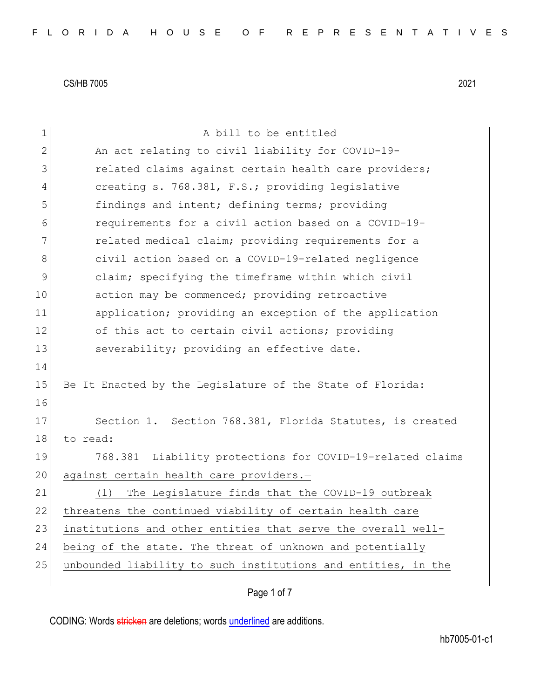| $\mathbf 1$    | A bill to be entitled                                         |
|----------------|---------------------------------------------------------------|
| $\overline{2}$ | An act relating to civil liability for COVID-19-              |
| 3              | related claims against certain health care providers;         |
| 4              | creating s. 768.381, F.S.; providing legislative              |
| 5              | findings and intent; defining terms; providing                |
| 6              | requirements for a civil action based on a COVID-19-          |
| 7              | related medical claim; providing requirements for a           |
| 8              | civil action based on a COVID-19-related negligence           |
| 9              | claim; specifying the timeframe within which civil            |
| 10             | action may be commenced; providing retroactive                |
| 11             | application; providing an exception of the application        |
| 12             | of this act to certain civil actions; providing               |
| 13             | severability; providing an effective date.                    |
| 14             |                                                               |
| 15             | Be It Enacted by the Legislature of the State of Florida:     |
| 16             |                                                               |
| 17             | Section 1. Section 768.381, Florida Statutes, is created      |
| 18             | to read:                                                      |
| 19             | 768.381 Liability protections for COVID-19-related claims     |
| 20             | against certain health care providers.-                       |
| 21             | The Legislature finds that the COVID-19 outbreak<br>(1)       |
| 22             | threatens the continued viability of certain health care      |
| 23             | institutions and other entities that serve the overall well-  |
| 24             | being of the state. The threat of unknown and potentially     |
| 25             | unbounded liability to such institutions and entities, in the |
|                |                                                               |

Page 1 of 7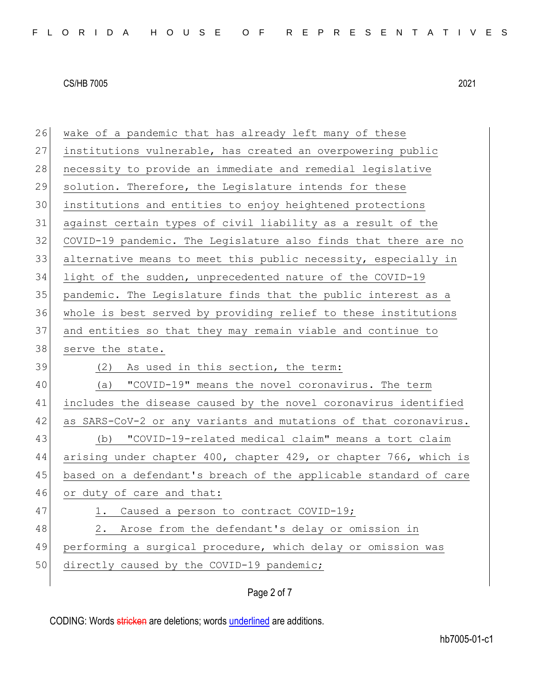26 wake of a pandemic that has already left many of these institutions vulnerable, has created an overpowering public 28 necessity to provide an immediate and remedial legislative solution. Therefore, the Legislature intends for these institutions and entities to enjoy heightened protections against certain types of civil liability as a result of the 32 COVID-19 pandemic. The Legislature also finds that there are no alternative means to meet this public necessity, especially in light of the sudden, unprecedented nature of the COVID-19 pandemic. The Legislature finds that the public interest as a whole is best served by providing relief to these institutions and entities so that they may remain viable and continue to 38 serve the state. 39 (2) As used in this section, the term: (a) "COVID-19" means the novel coronavirus. The term includes the disease caused by the novel coronavirus identified as SARS-CoV-2 or any variants and mutations of that coronavirus. (b) "COVID-19-related medical claim" means a tort claim arising under chapter 400, chapter 429, or chapter 766, which is based on a defendant's breach of the applicable standard of care 46 or duty of care and that: 47 1. Caused a person to contract COVID-19; 48 2. Arose from the defendant's delay or omission in performing a surgical procedure, which delay or omission was 50 directly caused by the COVID-19 pandemic;

### Page 2 of 7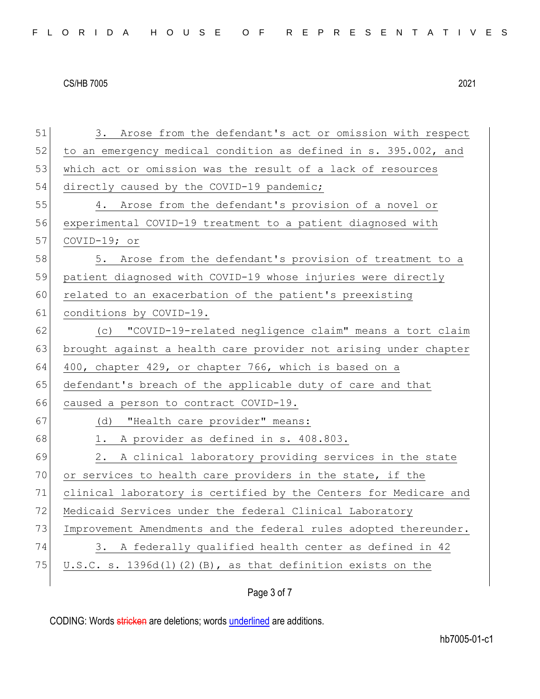| 51 | 3. Arose from the defendant's act or omission with respect       |  |  |  |  |  |  |  |  |  |
|----|------------------------------------------------------------------|--|--|--|--|--|--|--|--|--|
| 52 | to an emergency medical condition as defined in s. 395.002, and  |  |  |  |  |  |  |  |  |  |
| 53 | which act or omission was the result of a lack of resources      |  |  |  |  |  |  |  |  |  |
| 54 | directly caused by the COVID-19 pandemic;                        |  |  |  |  |  |  |  |  |  |
| 55 | 4. Arose from the defendant's provision of a novel or            |  |  |  |  |  |  |  |  |  |
| 56 | experimental COVID-19 treatment to a patient diagnosed with      |  |  |  |  |  |  |  |  |  |
| 57 | COVID-19; or                                                     |  |  |  |  |  |  |  |  |  |
| 58 | 5. Arose from the defendant's provision of treatment to a        |  |  |  |  |  |  |  |  |  |
| 59 | patient diagnosed with COVID-19 whose injuries were directly     |  |  |  |  |  |  |  |  |  |
| 60 | related to an exacerbation of the patient's preexisting          |  |  |  |  |  |  |  |  |  |
| 61 | conditions by COVID-19.                                          |  |  |  |  |  |  |  |  |  |
| 62 | (c) "COVID-19-related negligence claim" means a tort claim       |  |  |  |  |  |  |  |  |  |
| 63 | brought against a health care provider not arising under chapter |  |  |  |  |  |  |  |  |  |
| 64 | 400, chapter 429, or chapter 766, which is based on a            |  |  |  |  |  |  |  |  |  |
| 65 | defendant's breach of the applicable duty of care and that       |  |  |  |  |  |  |  |  |  |
| 66 | caused a person to contract COVID-19.                            |  |  |  |  |  |  |  |  |  |
| 67 | (d) "Health care provider" means:                                |  |  |  |  |  |  |  |  |  |
| 68 | A provider as defined in s. 408.803.<br>1.                       |  |  |  |  |  |  |  |  |  |
| 69 | A clinical laboratory providing services in the state<br>2.      |  |  |  |  |  |  |  |  |  |
| 70 | or services to health care providers in the state, if the        |  |  |  |  |  |  |  |  |  |
| 71 | clinical laboratory is certified by the Centers for Medicare and |  |  |  |  |  |  |  |  |  |
| 72 | Medicaid Services under the federal Clinical Laboratory          |  |  |  |  |  |  |  |  |  |
| 73 | Improvement Amendments and the federal rules adopted thereunder. |  |  |  |  |  |  |  |  |  |
| 74 | 3. A federally qualified health center as defined in 42          |  |  |  |  |  |  |  |  |  |
| 75 | $U.S.C. s. 1396d(l) (2) (B)$ , as that definition exists on the  |  |  |  |  |  |  |  |  |  |
|    |                                                                  |  |  |  |  |  |  |  |  |  |

# Page 3 of 7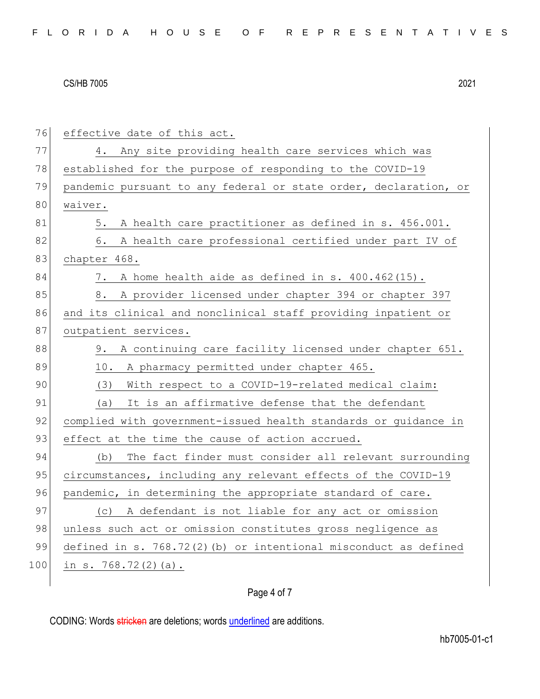| 76  | effective date of this act.                                      |  |  |  |  |  |  |  |  |  |
|-----|------------------------------------------------------------------|--|--|--|--|--|--|--|--|--|
| 77  | Any site providing health care services which was<br>4.          |  |  |  |  |  |  |  |  |  |
| 78  | established for the purpose of responding to the COVID-19        |  |  |  |  |  |  |  |  |  |
| 79  | pandemic pursuant to any federal or state order, declaration, or |  |  |  |  |  |  |  |  |  |
| 80  | waiver.                                                          |  |  |  |  |  |  |  |  |  |
| 81  | A health care practitioner as defined in s. 456.001.<br>5.       |  |  |  |  |  |  |  |  |  |
| 82  | A health care professional certified under part IV of<br>6.      |  |  |  |  |  |  |  |  |  |
| 83  | chapter 468.                                                     |  |  |  |  |  |  |  |  |  |
| 84  | A home health aide as defined in s. 400.462(15).<br>7.           |  |  |  |  |  |  |  |  |  |
| 85  | 8. A provider licensed under chapter 394 or chapter 397          |  |  |  |  |  |  |  |  |  |
| 86  | and its clinical and nonclinical staff providing inpatient or    |  |  |  |  |  |  |  |  |  |
| 87  | outpatient services.                                             |  |  |  |  |  |  |  |  |  |
| 88  | A continuing care facility licensed under chapter 651.<br>9.     |  |  |  |  |  |  |  |  |  |
| 89  | 10. A pharmacy permitted under chapter 465.                      |  |  |  |  |  |  |  |  |  |
| 90  | With respect to a COVID-19-related medical claim:<br>(3)         |  |  |  |  |  |  |  |  |  |
| 91  | It is an affirmative defense that the defendant<br>(a)           |  |  |  |  |  |  |  |  |  |
| 92  | complied with government-issued health standards or guidance in  |  |  |  |  |  |  |  |  |  |
| 93  | effect at the time the cause of action accrued.                  |  |  |  |  |  |  |  |  |  |
| 94  | The fact finder must consider all relevant surrounding<br>(b)    |  |  |  |  |  |  |  |  |  |
| 95  | circumstances, including any relevant effects of the COVID-19    |  |  |  |  |  |  |  |  |  |
| 96  | pandemic, in determining the appropriate standard of care.       |  |  |  |  |  |  |  |  |  |
| 97  | (c) A defendant is not liable for any act or omission            |  |  |  |  |  |  |  |  |  |
| 98  | unless such act or omission constitutes gross negligence as      |  |  |  |  |  |  |  |  |  |
| 99  | defined in s. 768.72(2)(b) or intentional misconduct as defined  |  |  |  |  |  |  |  |  |  |
| 100 | in s. $768.72(2)(a)$ .                                           |  |  |  |  |  |  |  |  |  |
|     |                                                                  |  |  |  |  |  |  |  |  |  |

## Page 4 of 7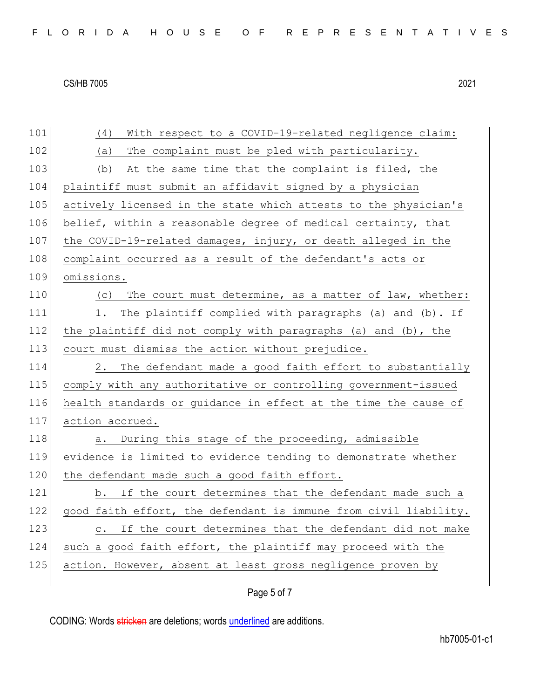| 101 | With respect to a COVID-19-related negligence claim:<br>(4)          |  |  |  |  |  |  |  |  |  |
|-----|----------------------------------------------------------------------|--|--|--|--|--|--|--|--|--|
| 102 | The complaint must be pled with particularity.<br>(a)                |  |  |  |  |  |  |  |  |  |
| 103 | At the same time that the complaint is filed, the<br>(b)             |  |  |  |  |  |  |  |  |  |
| 104 | plaintiff must submit an affidavit signed by a physician             |  |  |  |  |  |  |  |  |  |
| 105 | actively licensed in the state which attests to the physician's      |  |  |  |  |  |  |  |  |  |
| 106 | belief, within a reasonable degree of medical certainty, that        |  |  |  |  |  |  |  |  |  |
| 107 | the COVID-19-related damages, injury, or death alleged in the        |  |  |  |  |  |  |  |  |  |
| 108 | complaint occurred as a result of the defendant's acts or            |  |  |  |  |  |  |  |  |  |
| 109 | omissions.                                                           |  |  |  |  |  |  |  |  |  |
| 110 | (c) The court must determine, as a matter of law, whether:           |  |  |  |  |  |  |  |  |  |
| 111 | 1. The plaintiff complied with paragraphs (a) and (b). If            |  |  |  |  |  |  |  |  |  |
| 112 | the plaintiff did not comply with paragraphs (a) and (b), the        |  |  |  |  |  |  |  |  |  |
| 113 | court must dismiss the action without prejudice.                     |  |  |  |  |  |  |  |  |  |
| 114 | The defendant made a good faith effort to substantially<br>2.        |  |  |  |  |  |  |  |  |  |
| 115 | comply with any authoritative or controlling government-issued       |  |  |  |  |  |  |  |  |  |
| 116 | health standards or guidance in effect at the time the cause of      |  |  |  |  |  |  |  |  |  |
| 117 | action accrued.                                                      |  |  |  |  |  |  |  |  |  |
| 118 | a. During this stage of the proceeding, admissible                   |  |  |  |  |  |  |  |  |  |
| 119 | evidence is limited to evidence tending to demonstrate whether       |  |  |  |  |  |  |  |  |  |
| 120 | the defendant made such a good faith effort.                         |  |  |  |  |  |  |  |  |  |
| 121 | b. If the court determines that the defendant made such a            |  |  |  |  |  |  |  |  |  |
| 122 | good faith effort, the defendant is immune from civil liability.     |  |  |  |  |  |  |  |  |  |
| 123 | If the court determines that the defendant did not make<br>$\circ$ . |  |  |  |  |  |  |  |  |  |
|     |                                                                      |  |  |  |  |  |  |  |  |  |
| 124 | such a good faith effort, the plaintiff may proceed with the         |  |  |  |  |  |  |  |  |  |
| 125 | action. However, absent at least gross negligence proven by          |  |  |  |  |  |  |  |  |  |

# Page 5 of 7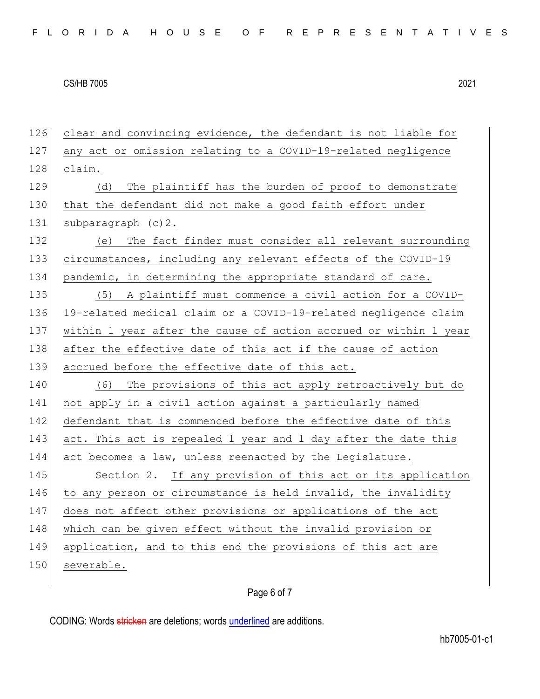126 clear and convincing evidence, the defendant is not liable for 127 any act or omission relating to a COVID-19-related negligence 128 claim. 129 (d) The plaintiff has the burden of proof to demonstrate 130 that the defendant did not make a good faith effort under 131 subparagraph (c) 2. 132 (e) The fact finder must consider all relevant surrounding 133 circumstances, including any relevant effects of the COVID-19 134 pandemic, in determining the appropriate standard of care. 135 (5) A plaintiff must commence a civil action for a COVID-136 19-related medical claim or a COVID-19-related negligence claim 137 within 1 year after the cause of action accrued or within 1 year 138 after the effective date of this act if the cause of action 139 accrued before the effective date of this act. 140 (6) The provisions of this act apply retroactively but do 141 not apply in a civil action against a particularly named 142 defendant that is commenced before the effective date of this 143 act. This act is repealed 1 year and 1 day after the date this 144 act becomes a law, unless reenacted by the Legislature. 145 Section 2. If any provision of this act or its application 146 to any person or circumstance is held invalid, the invalidity 147 does not affect other provisions or applications of the act 148 which can be given effect without the invalid provision or 149 application, and to this end the provisions of this act are 150 severable.

## Page 6 of 7